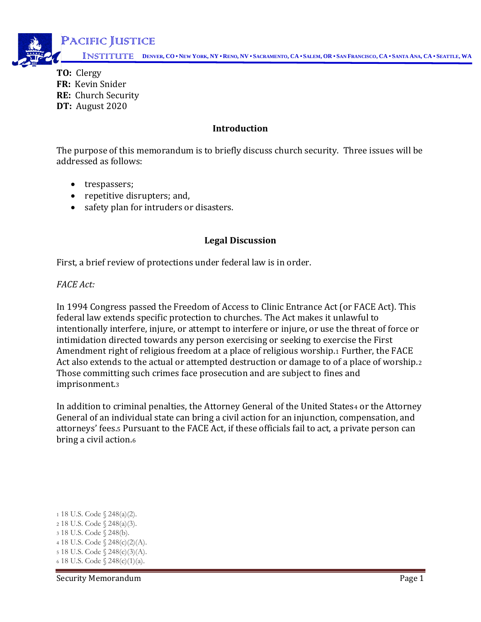

**TO:** Clergy **FR:** Kevin Snider **RE:** Church Security **DT:** August 2020  $\sum_{i=1}^{n}$ 

### **Introduction**

The purpose of this memorandum is to briefly discuss church security. Three issues will be addressed as follows:

- trespassers;
- repetitive disrupters; and,
- safety plan for intruders or disasters.

### **Legal Discussion**

First, a brief review of protections under federal law is in order.

*FACE Act:*

In 1994 Congress passed the Freedom of Access to Clinic Entrance Act (or FACE Act). This federal law extends specific protection to churches. The Act makes it unlawful to intentionally interfere, injure, or attempt to interfere or injure, or use the threat of force or intimidation directed towards any person exercising or seeking to exercise the First Amendment right of religious freedom at a place of religious worship.<sup>1</sup> Further, the FACE Act also extends to the actual or attempted destruction or damage to of a place of worship.<sup>2</sup> Those committing such crimes face prosecution and are subject to fines and imprisonment.<sup>3</sup>

In addition to criminal penalties, the Attorney General of the United States4 or the Attorney General of an individual state can bring a civil action for an injunction, compensation, and attorneys' fees.<sup>5</sup> Pursuant to the FACE Act, if these officials fail to act, a private person can bring a civil action.<sup>6</sup>

 18 U.S. Code § 248(a)(2). 18 U.S. Code § 248(a)(3). 18 U.S. Code § 248(b). 18 U.S. Code § 248(c)(2)(A). 18 U.S. Code § 248(c)(3)(A). 18 U.S. Code § 248(c)(1)(a).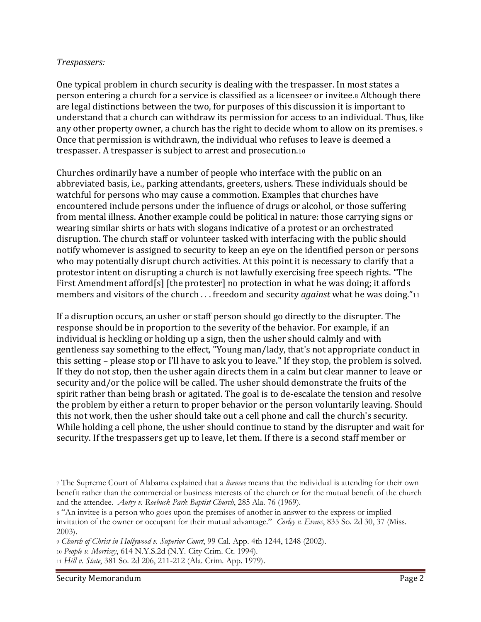## *Trespassers:*

One typical problem in church security is dealing with the trespasser. In most states a person entering a church for a service is classified as a licensee<sup>7</sup> or invitee.<sup>8</sup> Although there are legal distinctions between the two, for purposes of this discussion it is important to understand that a church can withdraw its permission for access to an individual. Thus, like any other property owner, a church has the right to decide whom to allow on its premises. <sup>9</sup> Once that permission is withdrawn, the individual who refuses to leave is deemed a trespasser. A trespasser is subject to arrest and prosecution.<sup>10</sup>

Churches ordinarily have a number of people who interface with the public on an abbreviated basis, i.e., parking attendants, greeters, ushers. These individuals should be watchful for persons who may cause a commotion. Examples that churches have encountered include persons under the influence of drugs or alcohol, or those suffering from mental illness. Another example could be political in nature: those carrying signs or wearing similar shirts or hats with slogans indicative of a protest or an orchestrated disruption. The church staff or volunteer tasked with interfacing with the public should notify whomever is assigned to security to keep an eye on the identified person or persons who may potentially disrupt church activities. At this point it is necessary to clarify that a protestor intent on disrupting a church is not lawfully exercising free speech rights. "The First Amendment afford[s] [the protester] no protection in what he was doing; it affords members and visitors of the church . . . freedom and security *against* what he was doing."<sup>11</sup>

If a disruption occurs, an usher or staff person should go directly to the disrupter. The response should be in proportion to the severity of the behavior. For example, if an individual is heckling or holding up a sign, then the usher should calmly and with gentleness say something to the effect, "Young man/lady, that's not appropriate conduct in this setting – please stop or I'll have to ask you to leave." If they stop, the problem is solved. If they do not stop, then the usher again directs them in a calm but clear manner to leave or security and/or the police will be called. The usher should demonstrate the fruits of the spirit rather than being brash or agitated. The goal is to de-escalate the tension and resolve the problem by either a return to proper behavior or the person voluntarily leaving. Should this not work, then the usher should take out a cell phone and call the church's security. While holding a cell phone, the usher should continue to stand by the disrupter and wait for security. If the trespassers get up to leave, let them. If there is a second staff member or

<sup>9</sup> *Church of Christ in Hollywood v. Superior Court*, 99 Cal. App. 4th 1244, 1248 (2002).

<sup>11</sup> *Hill v. State*, 381 So. 2d 206, 211-212 (Ala. Crim. App. 1979).

<sup>7</sup> The Supreme Court of Alabama explained that a *licensee* means that the individual is attending for their own benefit rather than the commercial or business interests of the church or for the mutual benefit of the church and the attendee. *Autry v. Roebuck Park Baptist Church*, 285 Ala. 76 (1969).

<sup>8</sup> "An invitee is a person who goes upon the premises of another in answer to the express or implied invitation of the owner or occupant for their mutual advantage." *Corley v. Evans*, 835 So. 2d 30, 37 (Miss. 2003).

<sup>10</sup> *People v. Morrisey*, 614 N.Y.S.2d (N.Y. City Crim. Ct. 1994).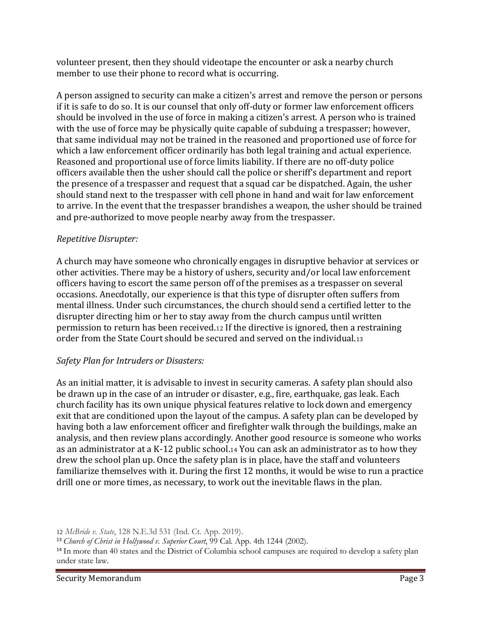volunteer present, then they should videotape the encounter or ask a nearby church member to use their phone to record what is occurring.

A person assigned to security can make a citizen's arrest and remove the person or persons if it is safe to do so. It is our counsel that only off-duty or former law enforcement officers should be involved in the use of force in making a citizen's arrest. A person who is trained with the use of force may be physically quite capable of subduing a trespasser; however, that same individual may not be trained in the reasoned and proportioned use of force for which a law enforcement officer ordinarily has both legal training and actual experience. Reasoned and proportional use of force limits liability. If there are no off-duty police officers available then the usher should call the police or sheriff's department and report the presence of a trespasser and request that a squad car be dispatched. Again, the usher should stand next to the trespasser with cell phone in hand and wait for law enforcement to arrive. In the event that the trespasser brandishes a weapon, the usher should be trained and pre-authorized to move people nearby away from the trespasser.

# *Repetitive Disrupter:*

A church may have someone who chronically engages in disruptive behavior at services or other activities. There may be a history of ushers, security and/or local law enforcement officers having to escort the same person off of the premises as a trespasser on several occasions. Anecdotally, our experience is that this type of disrupter often suffers from mental illness. Under such circumstances, the church should send a certified letter to the disrupter directing him or her to stay away from the church campus until written permission to return has been received.<sup>12</sup> If the directive is ignored, then a restraining order from the State Court should be secured and served on the individual.<sup>13</sup>

# *Safety Plan for Intruders or Disasters:*

As an initial matter, it is advisable to invest in security cameras. A safety plan should also be drawn up in the case of an intruder or disaster, e.g., fire, earthquake, gas leak. Each church facility has its own unique physical features relative to lock down and emergency exit that are conditioned upon the layout of the campus. A safety plan can be developed by having both a law enforcement officer and firefighter walk through the buildings, make an analysis, and then review plans accordingly. Another good resource is someone who works as an administrator at a K-12 public school.<sup>14</sup> You can ask an administrator as to how they drew the school plan up. Once the safety plan is in place, have the staff and volunteers familiarize themselves with it. During the first 12 months, it would be wise to run a practice drill one or more times, as necessary, to work out the inevitable flaws in the plan.

<sup>12</sup> *McBride v. State*, 128 N.E.3d 531 (Ind. Ct. App. 2019).

<sup>13</sup> *Church of Christ in Hollywood v. Superior Court*, 99 Cal. App. 4th 1244 (2002).

<sup>&</sup>lt;sup>14</sup> In more than 40 states and the District of Columbia school campuses are required to develop a safety plan under state law.